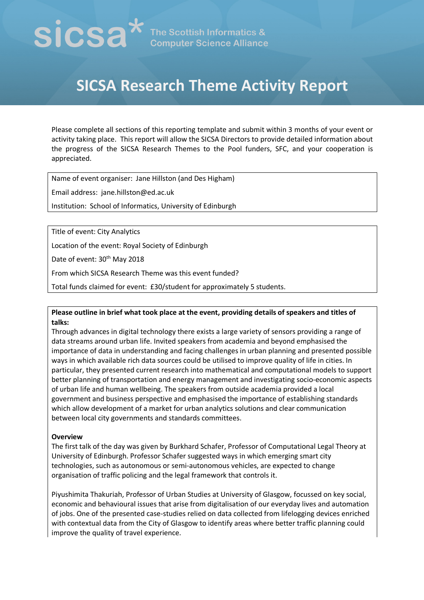# $\mathbf{SICSA}^{\star}$  The Scottish Informatics &

## **SICSA Research Theme Activity Report**

Please complete all sections of this reporting template and submit within 3 months of your event or activity taking place. This report will allow the SICSA Directors to provide detailed information about the progress of the SICSA Research Themes to the Pool funders, SFC, and your cooperation is appreciated.

Name of event organiser: Jane Hillston (and Des Higham)

Email address: jane.hillston@ed.ac.uk

Institution: School of Informatics, University of Edinburgh

Title of event: City Analytics

Location of the event: Royal Society of Edinburgh

Date of event: 30<sup>th</sup> May 2018

From which SICSA Research Theme was this event funded?

Total funds claimed for event: £30/student for approximately 5 students.

### **Please outline in brief what took place at the event, providing details of speakers and titles of talks:**

Through advances in digital technology there exists a large variety of sensors providing a range of data streams around urban life. Invited speakers from academia and beyond emphasised the importance of data in understanding and facing challenges in urban planning and presented possible ways in which available rich data sources could be utilised to improve quality of life in cities. In particular, they presented current research into mathematical and computational models to support better planning of transportation and energy management and investigating socio-economic aspects of urban life and human wellbeing. The speakers from outside academia provided a local government and business perspective and emphasised the importance of establishing standards which allow development of a market for urban analytics solutions and clear communication between local city governments and standards committees.

#### **Overview**

The first talk of the day was given by Burkhard Schafer, Professor of Computational Legal Theory at University of Edinburgh. Professor Schafer suggested ways in which emerging smart city technologies, such as autonomous or semi-autonomous vehicles, are expected to change organisation of traffic policing and the legal framework that controls it.

Piyushimita Thakuriah, Professor of Urban Studies at University of Glasgow, focussed on key social, economic and behavioural issues that arise from digitalisation of our everyday lives and automation of jobs. One of the presented case-studies relied on data collected from lifelogging devices enriched with contextual data from the City of Glasgow to identify areas where better traffic planning could improve the quality of travel experience.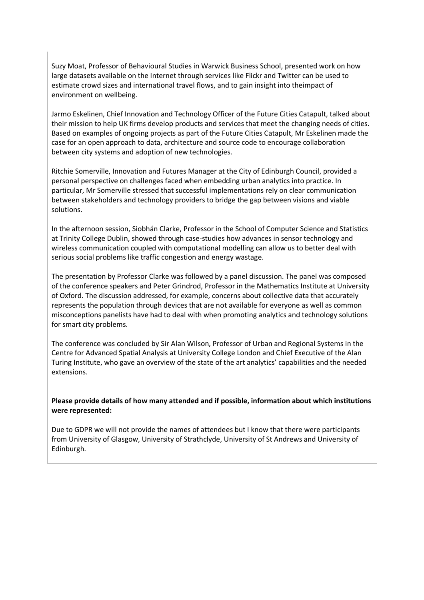Suzy Moat, Professor of Behavioural Studies in Warwick Business School, presented work on how large datasets available on the Internet through services like Flickr and Twitter can be used to estimate crowd sizes and international travel flows, and to gain insight into theimpact of environment on wellbeing.

Jarmo Eskelinen, Chief Innovation and Technology Officer of the Future Cities Catapult, talked about their mission to help UK firms develop products and services that meet the changing needs of cities. Based on examples of ongoing projects as part of the Future Cities Catapult, Mr Eskelinen made the case for an open approach to data, architecture and source code to encourage collaboration between city systems and adoption of new technologies.

Ritchie Somerville, Innovation and Futures Manager at the City of Edinburgh Council, provided a personal perspective on challenges faced when embedding urban analytics into practice. In particular, Mr Somerville stressed that successful implementations rely on clear communication between stakeholders and technology providers to bridge the gap between visions and viable solutions.

In the afternoon session, Siobhán Clarke, Professor in the School of Computer Science and Statistics at Trinity College Dublin, showed through case-studies how advances in sensor technology and wireless communication coupled with computational modelling can allow us to better deal with serious social problems like traffic congestion and energy wastage.

The presentation by Professor Clarke was followed by a panel discussion. The panel was composed of the conference speakers and Peter Grindrod, Professor in the Mathematics Institute at University of Oxford. The discussion addressed, for example, concerns about collective data that accurately represents the population through devices that are not available for everyone as well as common misconceptions panelists have had to deal with when promoting analytics and technology solutions for smart city problems.

The conference was concluded by Sir Alan Wilson, Professor of Urban and Regional Systems in the Centre for Advanced Spatial Analysis at University College London and Chief Executive of the Alan Turing Institute, who gave an overview of the state of the art analytics' capabilities and the needed extensions.

### **Please provide details of how many attended and if possible, information about which institutions were represented:**

Due to GDPR we will not provide the names of attendees but I know that there were participants from University of Glasgow, University of Strathclyde, University of St Andrews and University of Edinburgh.